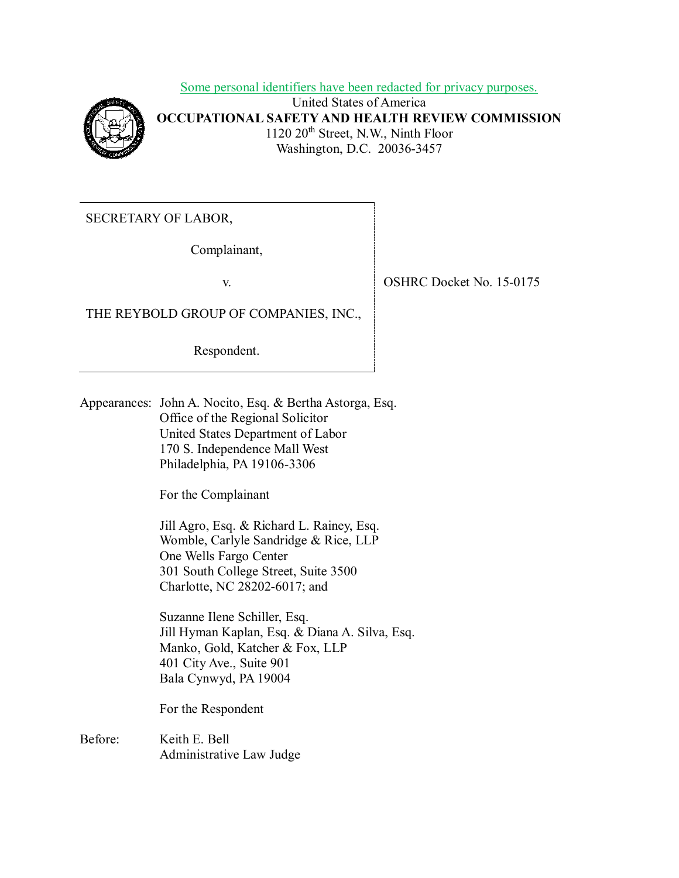Some personal identifiers have been redacted for privacy purposes.



United States of America **OCCUPATIONAL SAFETY AND HEALTH REVIEW COMMISSION** 1120 20<sup>th</sup> Street, N.W., Ninth Floor Washington, D.C. 20036-3457

SECRETARY OF LABOR,

Complainant,

THE REYBOLD GROUP OF COMPANIES, INC.,

Respondent.

v. SHRC Docket No. 15-0175

Appearances: John A. Nocito, Esq. & Bertha Astorga, Esq. Office of the Regional Solicitor United States Department of Labor 170 S. Independence Mall West Philadelphia, PA 19106-3306

For the Complainant

 Jill Agro, Esq. & Richard L. Rainey, Esq. Womble, Carlyle Sandridge & Rice, LLP One Wells Fargo Center 301 South College Street, Suite 3500 Charlotte, NC 28202-6017; and

 Suzanne Ilene Schiller, Esq. Jill Hyman Kaplan, Esq. & Diana A. Silva, Esq. Manko, Gold, Katcher & Fox, LLP 401 City Ave., Suite 901 Bala Cynwyd, PA 19004

For the Respondent

Before: Keith E. Bell Administrative Law Judge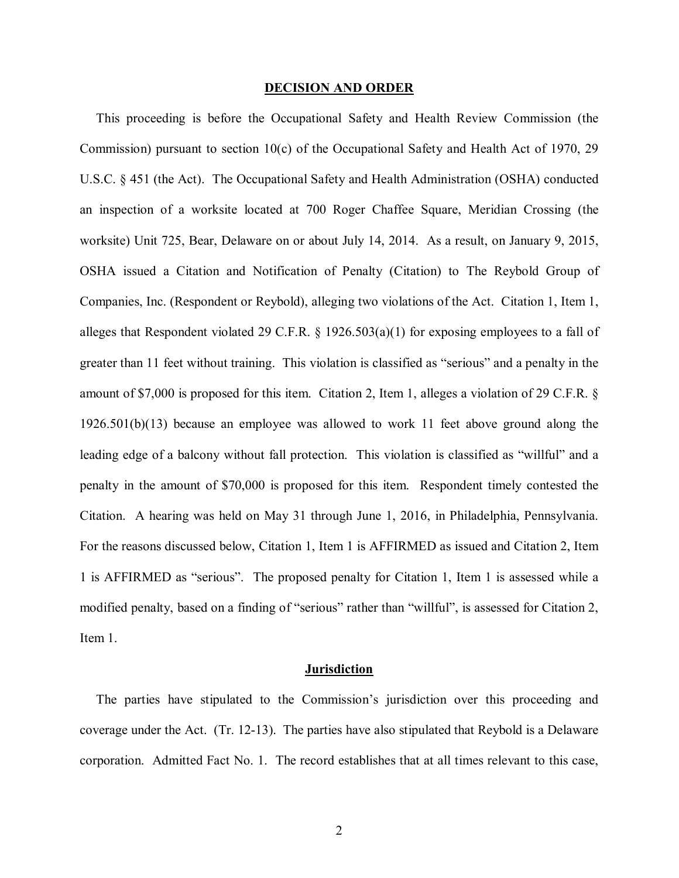#### **DECISION AND ORDER**

 This proceeding is before the Occupational Safety and Health Review Commission (the Commission) pursuant to section 10(c) of the Occupational Safety and Health Act of 1970, 29 U.S.C. § 451 (the Act). The Occupational Safety and Health Administration (OSHA) conducted an inspection of a worksite located at 700 Roger Chaffee Square, Meridian Crossing (the worksite) Unit 725, Bear, Delaware on or about July 14, 2014. As a result, on January 9, 2015, OSHA issued a Citation and Notification of Penalty (Citation) to The Reybold Group of Companies, Inc. (Respondent or Reybold), alleging two violations of the Act. Citation 1, Item 1, alleges that Respondent violated 29 C.F.R. § 1926.503(a)(1) for exposing employees to a fall of greater than 11 feet without training. This violation is classified as "serious" and a penalty in the amount of \$7,000 is proposed for this item. Citation 2, Item 1, alleges a violation of 29 C.F.R. § 1926.501(b)(13) because an employee was allowed to work 11 feet above ground along the leading edge of a balcony without fall protection. This violation is classified as "willful" and a penalty in the amount of \$70,000 is proposed for this item. Respondent timely contested the Citation. A hearing was held on May 31 through June 1, 2016, in Philadelphia, Pennsylvania. For the reasons discussed below, Citation 1, Item 1 is AFFIRMED as issued and Citation 2, Item 1 is AFFIRMED as "serious". The proposed penalty for Citation 1, Item 1 is assessed while a modified penalty, based on a finding of "serious" rather than "willful", is assessed for Citation 2, Item 1.

#### **Jurisdiction**

The parties have stipulated to the Commission's jurisdiction over this proceeding and coverage under the Act. (Tr. 12-13). The parties have also stipulated that Reybold is a Delaware corporation. Admitted Fact No. 1. The record establishes that at all times relevant to this case,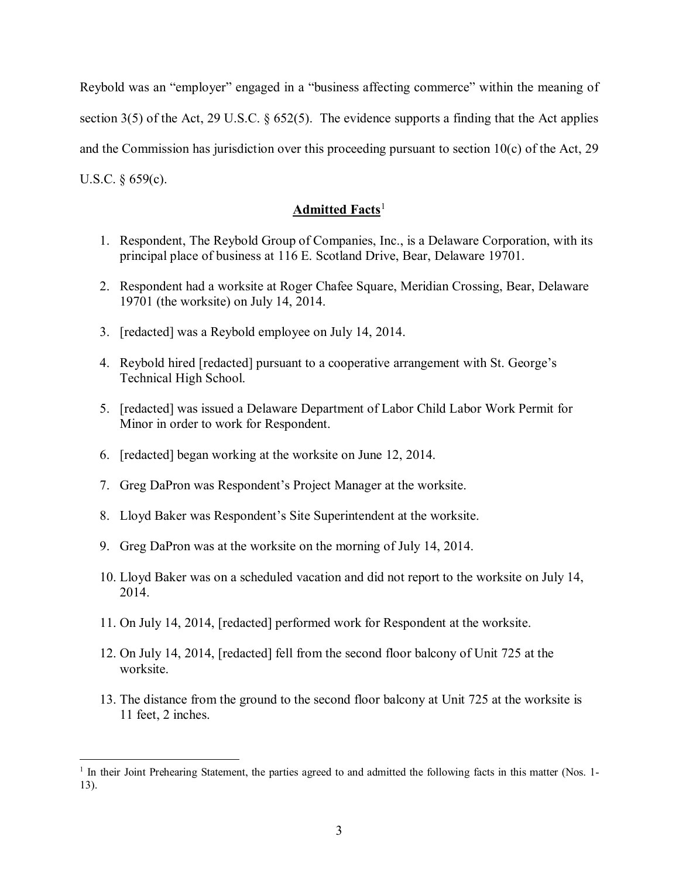Reybold was an "employer" engaged in a "business affecting commerce" within the meaning of section 3(5) of the Act, 29 U.S.C.  $\S$  652(5). The evidence supports a finding that the Act applies and the Commission has jurisdiction over this proceeding pursuant to section  $10(c)$  of the Act, 29 U.S.C. § 659(c).

# **Admitted Facts**[1](#page-2-0)

- 1. Respondent, The Reybold Group of Companies, Inc., is a Delaware Corporation, with its principal place of business at 116 E. Scotland Drive, Bear, Delaware 19701.
- 2. Respondent had a worksite at Roger Chafee Square, Meridian Crossing, Bear, Delaware 19701 (the worksite) on July 14, 2014.
- 3. [redacted] was a Reybold employee on July 14, 2014.
- 4. Reybold hired [redacted] pursuant to a cooperative arrangement with St. George's Technical High School.
- 5. [redacted] was issued a Delaware Department of Labor Child Labor Work Permit for Minor in order to work for Respondent.
- 6. [redacted] began working at the worksite on June 12, 2014.
- 7. Greg DaPron was Respondent's Project Manager at the worksite.
- 8. Lloyd Baker was Respondent's Site Superintendent at the worksite.
- 9. Greg DaPron was at the worksite on the morning of July 14, 2014.
- 10. Lloyd Baker was on a scheduled vacation and did not report to the worksite on July 14, 2014.
- 11. On July 14, 2014, [redacted] performed work for Respondent at the worksite.
- 12. On July 14, 2014, [redacted] fell from the second floor balcony of Unit 725 at the worksite.
- 13. The distance from the ground to the second floor balcony at Unit 725 at the worksite is 11 feet, 2 inches.

<span id="page-2-0"></span> $\overline{a}$  $1$  In their Joint Prehearing Statement, the parties agreed to and admitted the following facts in this matter (Nos. 1-13).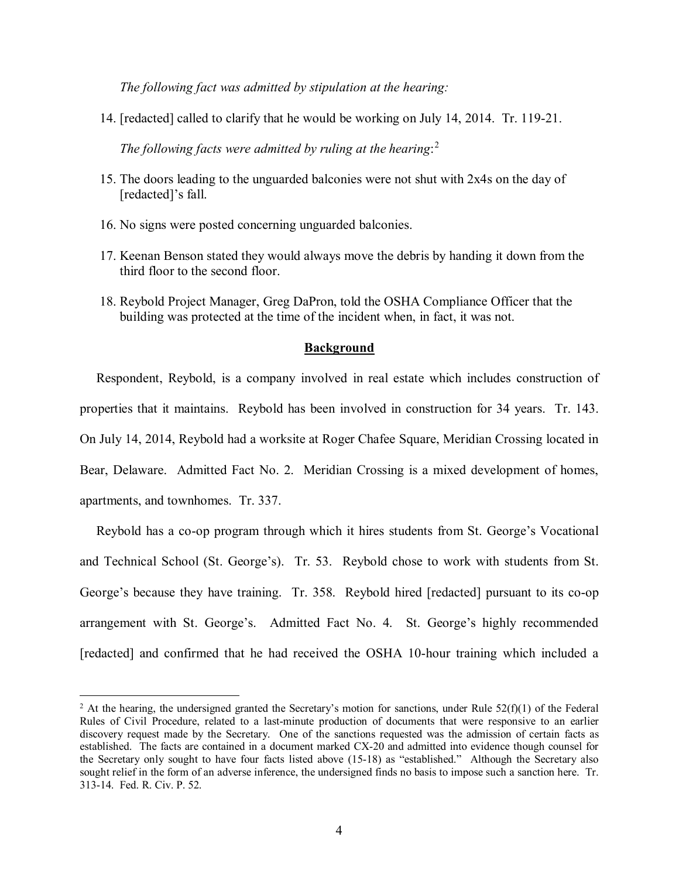*The following fact was admitted by stipulation at the hearing:*

14. [redacted] called to clarify that he would be working on July 14, 2014. Tr. 119-21.

*The following facts were admitted by ruling at the hearing*: [2](#page-3-0)

- 15. The doors leading to the unguarded balconies were not shut with 2x4s on the day of [redacted]'s fall.
- 16. No signs were posted concerning unguarded balconies.
- 17. Keenan Benson stated they would always move the debris by handing it down from the third floor to the second floor.
- 18. Reybold Project Manager, Greg DaPron, told the OSHA Compliance Officer that the building was protected at the time of the incident when, in fact, it was not.

## **Background**

Respondent, Reybold, is a company involved in real estate which includes construction of properties that it maintains. Reybold has been involved in construction for 34 years. Tr. 143. On July 14, 2014, Reybold had a worksite at Roger Chafee Square, Meridian Crossing located in Bear, Delaware. Admitted Fact No. 2. Meridian Crossing is a mixed development of homes, apartments, and townhomes. Tr. 337.

 Reybold has a co-op program through which it hires students from St. George's Vocational and Technical School (St. George's). Tr. 53. Reybold chose to work with students from St. George's because they have training. Tr. 358. Reybold hired [redacted] pursuant to its co-op arrangement with St. George's. Admitted Fact No. 4. St. George's highly recommended [redacted] and confirmed that he had received the OSHA 10-hour training which included a

 $\overline{a}$ 

<span id="page-3-0"></span><sup>&</sup>lt;sup>2</sup> At the hearing, the undersigned granted the Secretary's motion for sanctions, under Rule  $52(f)(1)$  of the Federal Rules of Civil Procedure, related to a last-minute production of documents that were responsive to an earlier discovery request made by the Secretary. One of the sanctions requested was the admission of certain facts as established. The facts are contained in a document marked CX-20 and admitted into evidence though counsel for the Secretary only sought to have four facts listed above (15-18) as "established." Although the Secretary also sought relief in the form of an adverse inference, the undersigned finds no basis to impose such a sanction here. Tr. 313-14. Fed. R. Civ. P. 52.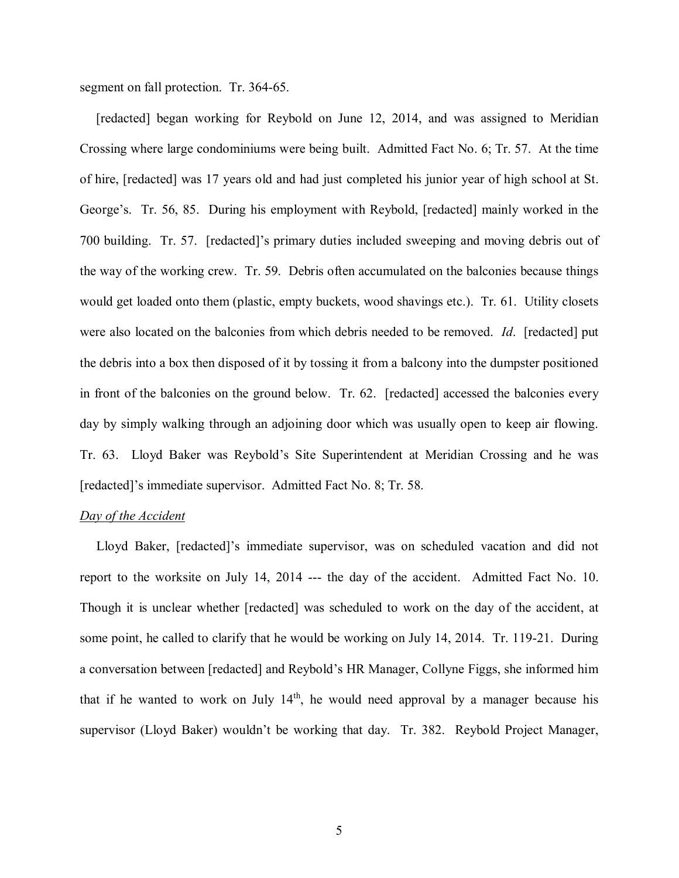segment on fall protection. Tr. 364-65.

[redacted] began working for Reybold on June 12, 2014, and was assigned to Meridian Crossing where large condominiums were being built. Admitted Fact No. 6; Tr. 57. At the time of hire, [redacted] was 17 years old and had just completed his junior year of high school at St. George's. Tr. 56, 85. During his employment with Reybold, [redacted] mainly worked in the 700 building. Tr. 57. [redacted]'s primary duties included sweeping and moving debris out of the way of the working crew. Tr. 59. Debris often accumulated on the balconies because things would get loaded onto them (plastic, empty buckets, wood shavings etc.). Tr. 61. Utility closets were also located on the balconies from which debris needed to be removed. *Id*. [redacted] put the debris into a box then disposed of it by tossing it from a balcony into the dumpster positioned in front of the balconies on the ground below. Tr. 62. [redacted] accessed the balconies every day by simply walking through an adjoining door which was usually open to keep air flowing. Tr. 63. Lloyd Baker was Reybold's Site Superintendent at Meridian Crossing and he was [redacted]'s immediate supervisor. Admitted Fact No. 8; Tr. 58.

# *Day of the Accident*

 Lloyd Baker, [redacted]'s immediate supervisor, was on scheduled vacation and did not report to the worksite on July 14, 2014 --- the day of the accident. Admitted Fact No. 10. Though it is unclear whether [redacted] was scheduled to work on the day of the accident, at some point, he called to clarify that he would be working on July 14, 2014. Tr. 119-21. During a conversation between [redacted] and Reybold's HR Manager, Collyne Figgs, she informed him that if he wanted to work on July  $14<sup>th</sup>$ , he would need approval by a manager because his supervisor (Lloyd Baker) wouldn't be working that day. Tr. 382. Reybold Project Manager,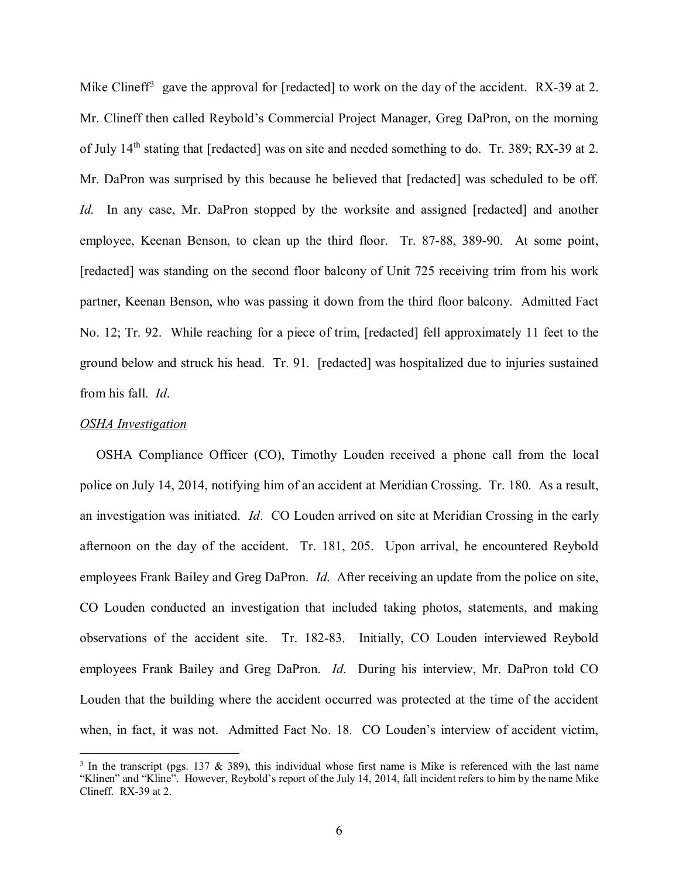Mike Clineff<sup>[3](#page-5-0)</sup> gave the approval for [redacted] to work on the day of the accident. RX-39 at 2. Mr. Clineff then called Reybold's Commercial Project Manager, Greg DaPron, on the morning of July 14<sup>th</sup> stating that [redacted] was on site and needed something to do. Tr. 389; RX-39 at 2. Mr. DaPron was surprised by this because he believed that [redacted] was scheduled to be off. *Id.* In any case, Mr. DaPron stopped by the worksite and assigned [redacted] and another employee, Keenan Benson, to clean up the third floor. Tr. 87-88, 389-90. At some point, [redacted] was standing on the second floor balcony of Unit 725 receiving trim from his work partner, Keenan Benson, who was passing it down from the third floor balcony. Admitted Fact No. 12; Tr. 92. While reaching for a piece of trim, [redacted] fell approximately 11 feet to the ground below and struck his head. Tr. 91. [redacted] was hospitalized due to injuries sustained from his fall. *Id*.

## *OSHA Investigation*

 $\overline{a}$ 

 OSHA Compliance Officer (CO), Timothy Louden received a phone call from the local police on July 14, 2014, notifying him of an accident at Meridian Crossing. Tr. 180. As a result, an investigation was initiated. *Id*. CO Louden arrived on site at Meridian Crossing in the early afternoon on the day of the accident. Tr. 181, 205. Upon arrival, he encountered Reybold employees Frank Bailey and Greg DaPron. *Id*. After receiving an update from the police on site, CO Louden conducted an investigation that included taking photos, statements, and making observations of the accident site. Tr. 182-83. Initially, CO Louden interviewed Reybold employees Frank Bailey and Greg DaPron. *Id*. During his interview, Mr. DaPron told CO Louden that the building where the accident occurred was protected at the time of the accident when, in fact, it was not. Admitted Fact No. 18. CO Louden's interview of accident victim,

<span id="page-5-0"></span><sup>&</sup>lt;sup>3</sup> In the transcript (pgs. 137 & 389), this individual whose first name is Mike is referenced with the last name "Klinen" and "Kline". However, Reybold's report of the July 14, 2014, fall incident refers to him by the name Mike Clineff. RX-39 at 2.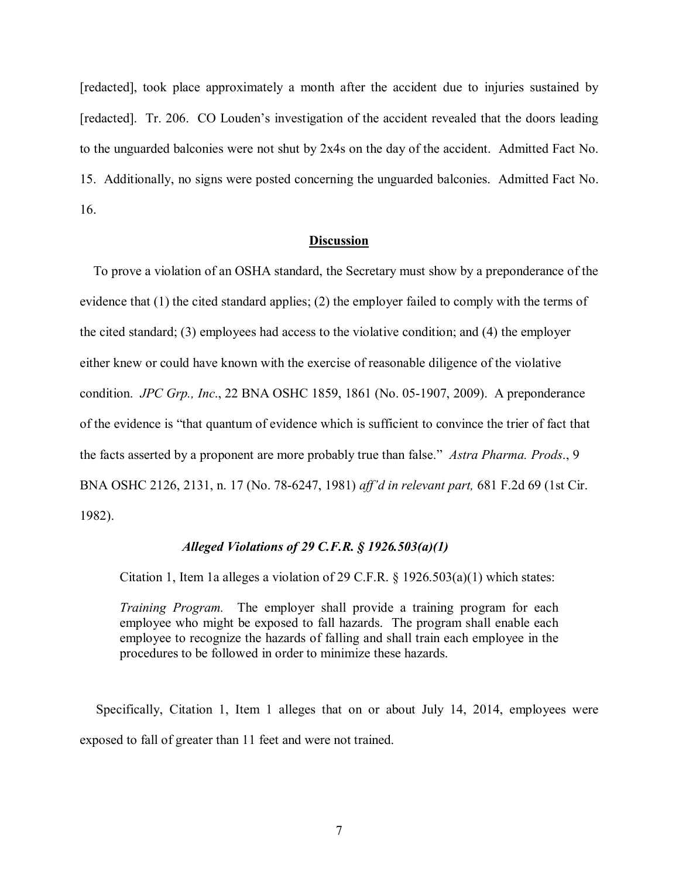[redacted], took place approximately a month after the accident due to injuries sustained by [redacted]. Tr. 206. CO Louden's investigation of the accident revealed that the doors leading to the unguarded balconies were not shut by 2x4s on the day of the accident. Admitted Fact No. 15. Additionally, no signs were posted concerning the unguarded balconies. Admitted Fact No. 16.

## **Discussion**

 To prove a violation of an OSHA standard, the Secretary must show by a preponderance of the evidence that (1) the cited standard applies; (2) the employer failed to comply with the terms of the cited standard; (3) employees had access to the violative condition; and (4) the employer either knew or could have known with the exercise of reasonable diligence of the violative condition. *JPC Grp., Inc*., 22 BNA OSHC 1859, 1861 (No. 05-1907, 2009). A preponderance of the evidence is "that quantum of evidence which is sufficient to convince the trier of fact that the facts asserted by a proponent are more probably true than false." *Astra Pharma. Prods*., 9 BNA OSHC 2126, 2131, n. 17 (No. 78-6247, 1981) *aff'd in relevant part,* 681 F.2d 69 (1st Cir. 1982).

#### *Alleged Violations of 29 C.F.R. § 1926.503(a)(1)*

Citation 1, Item 1a alleges a violation of 29 C.F.R. § 1926.503(a)(1) which states:

*Training Program.* The employer shall provide a training program for each employee who might be exposed to fall hazards. The program shall enable each employee to recognize the hazards of falling and shall train each employee in the procedures to be followed in order to minimize these hazards.

 Specifically, Citation 1, Item 1 alleges that on or about July 14, 2014, employees were exposed to fall of greater than 11 feet and were not trained.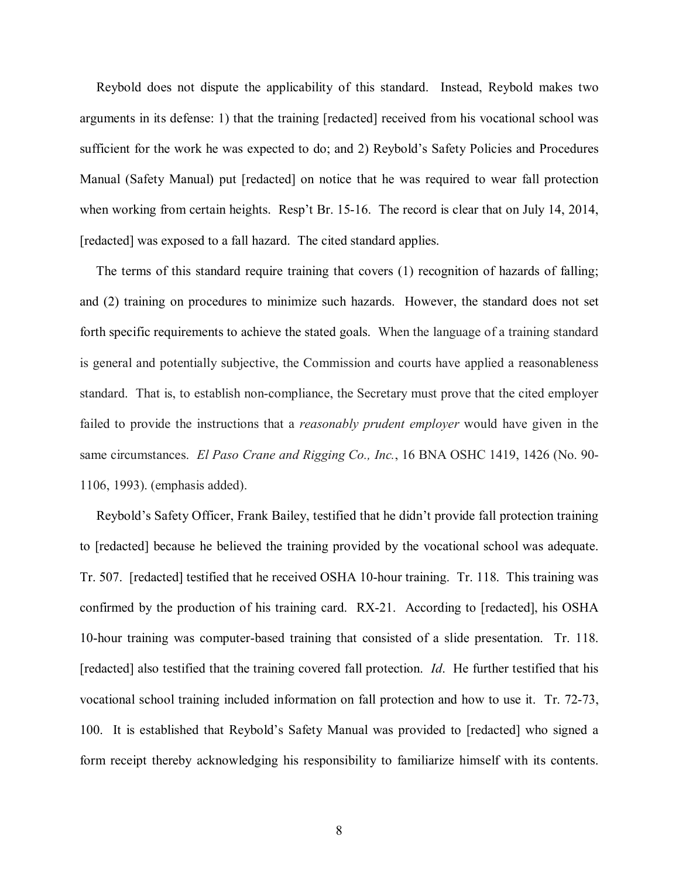Reybold does not dispute the applicability of this standard. Instead, Reybold makes two arguments in its defense: 1) that the training [redacted] received from his vocational school was sufficient for the work he was expected to do; and 2) Reybold's Safety Policies and Procedures Manual (Safety Manual) put [redacted] on notice that he was required to wear fall protection when working from certain heights. Resp't Br. 15-16. The record is clear that on July 14, 2014, [redacted] was exposed to a fall hazard. The cited standard applies.

 The terms of this standard require training that covers (1) recognition of hazards of falling; and (2) training on procedures to minimize such hazards. However, the standard does not set forth specific requirements to achieve the stated goals. When the language of a training standard is general and potentially subjective, the Commission and courts have applied a reasonableness standard. That is, to establish non-compliance, the Secretary must prove that the cited employer failed to provide the instructions that a *reasonably prudent employer* would have given in the same circumstances. *El Paso Crane and Rigging Co., Inc.*, 16 BNA OSHC 1419, 1426 (No. 90- 1106, 1993). (emphasis added).

 Reybold's Safety Officer, Frank Bailey, testified that he didn't provide fall protection training to [redacted] because he believed the training provided by the vocational school was adequate. Tr. 507. [redacted] testified that he received OSHA 10-hour training. Tr. 118. This training was confirmed by the production of his training card. RX-21. According to [redacted], his OSHA 10-hour training was computer-based training that consisted of a slide presentation. Tr. 118. [redacted] also testified that the training covered fall protection. *Id*. He further testified that his vocational school training included information on fall protection and how to use it. Tr. 72-73, 100. It is established that Reybold's Safety Manual was provided to [redacted] who signed a form receipt thereby acknowledging his responsibility to familiarize himself with its contents.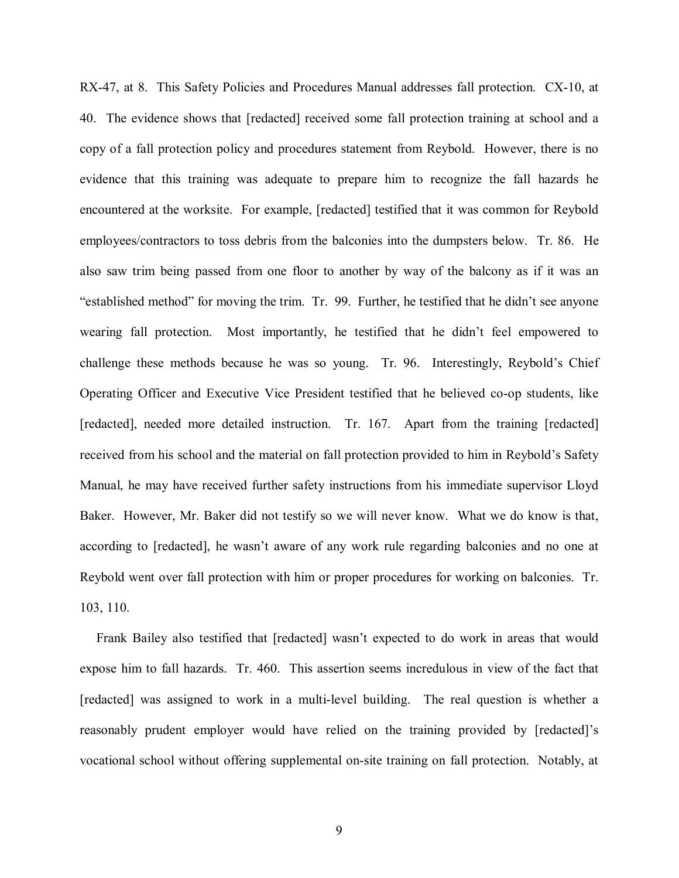RX-47, at 8. This Safety Policies and Procedures Manual addresses fall protection. CX-10, at 40. The evidence shows that [redacted] received some fall protection training at school and a copy of a fall protection policy and procedures statement from Reybold. However, there is no evidence that this training was adequate to prepare him to recognize the fall hazards he encountered at the worksite. For example, [redacted] testified that it was common for Reybold employees/contractors to toss debris from the balconies into the dumpsters below. Tr. 86. He also saw trim being passed from one floor to another by way of the balcony as if it was an "established method" for moving the trim. Tr. 99. Further, he testified that he didn't see anyone wearing fall protection. Most importantly, he testified that he didn't feel empowered to challenge these methods because he was so young. Tr. 96. Interestingly, Reybold's Chief Operating Officer and Executive Vice President testified that he believed co-op students, like [redacted], needed more detailed instruction. Tr. 167. Apart from the training [redacted] received from his school and the material on fall protection provided to him in Reybold's Safety Manual, he may have received further safety instructions from his immediate supervisor Lloyd Baker. However, Mr. Baker did not testify so we will never know. What we do know is that, according to [redacted], he wasn't aware of any work rule regarding balconies and no one at Reybold went over fall protection with him or proper procedures for working on balconies. Tr. 103, 110.

 Frank Bailey also testified that [redacted] wasn't expected to do work in areas that would expose him to fall hazards. Tr. 460. This assertion seems incredulous in view of the fact that [redacted] was assigned to work in a multi-level building. The real question is whether a reasonably prudent employer would have relied on the training provided by [redacted]'s vocational school without offering supplemental on-site training on fall protection. Notably, at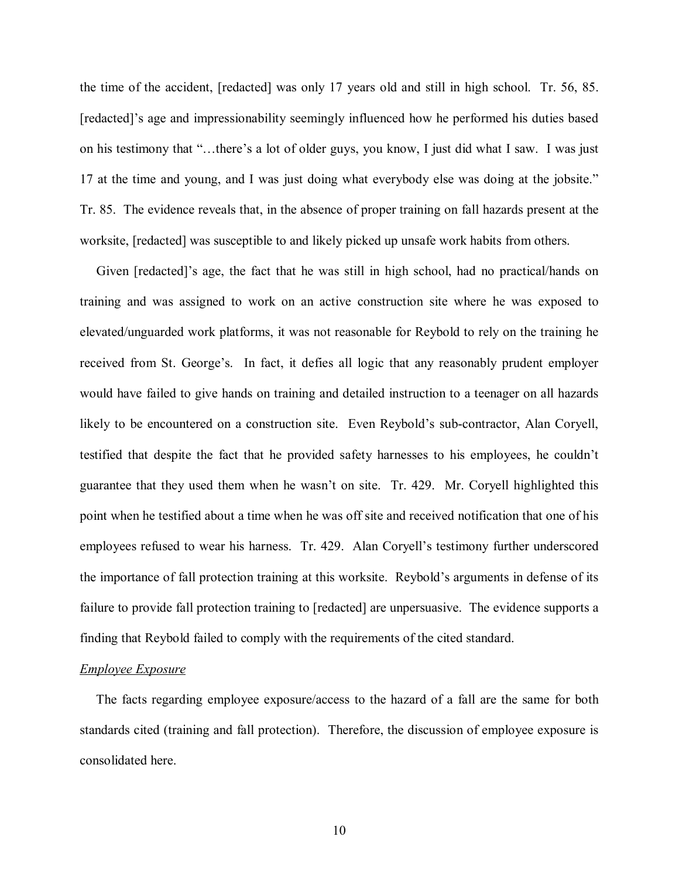the time of the accident, [redacted] was only 17 years old and still in high school. Tr. 56, 85. [redacted]'s age and impressionability seemingly influenced how he performed his duties based on his testimony that "…there's a lot of older guys, you know, I just did what I saw. I was just 17 at the time and young, and I was just doing what everybody else was doing at the jobsite." Tr. 85. The evidence reveals that, in the absence of proper training on fall hazards present at the worksite, [redacted] was susceptible to and likely picked up unsafe work habits from others.

 Given [redacted]'s age, the fact that he was still in high school, had no practical/hands on training and was assigned to work on an active construction site where he was exposed to elevated/unguarded work platforms, it was not reasonable for Reybold to rely on the training he received from St. George's. In fact, it defies all logic that any reasonably prudent employer would have failed to give hands on training and detailed instruction to a teenager on all hazards likely to be encountered on a construction site. Even Reybold's sub-contractor, Alan Coryell, testified that despite the fact that he provided safety harnesses to his employees, he couldn't guarantee that they used them when he wasn't on site. Tr. 429. Mr. Coryell highlighted this point when he testified about a time when he was off site and received notification that one of his employees refused to wear his harness. Tr. 429. Alan Coryell's testimony further underscored the importance of fall protection training at this worksite. Reybold's arguments in defense of its failure to provide fall protection training to [redacted] are unpersuasive. The evidence supports a finding that Reybold failed to comply with the requirements of the cited standard.

## *Employee Exposure*

 The facts regarding employee exposure/access to the hazard of a fall are the same for both standards cited (training and fall protection). Therefore, the discussion of employee exposure is consolidated here.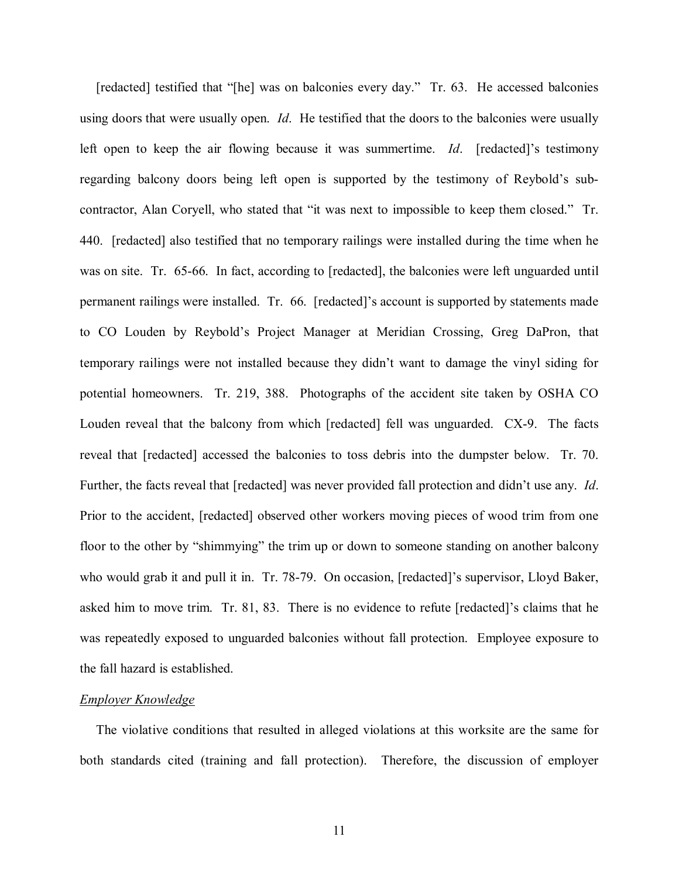[redacted] testified that "[he] was on balconies every day." Tr. 63. He accessed balconies using doors that were usually open. *Id*. He testified that the doors to the balconies were usually left open to keep the air flowing because it was summertime. *Id*. [redacted]'s testimony regarding balcony doors being left open is supported by the testimony of Reybold's subcontractor, Alan Coryell, who stated that "it was next to impossible to keep them closed." Tr. 440. [redacted] also testified that no temporary railings were installed during the time when he was on site. Tr. 65-66. In fact, according to [redacted], the balconies were left unguarded until permanent railings were installed. Tr. 66. [redacted]'s account is supported by statements made to CO Louden by Reybold's Project Manager at Meridian Crossing, Greg DaPron, that temporary railings were not installed because they didn't want to damage the vinyl siding for potential homeowners. Tr. 219, 388. Photographs of the accident site taken by OSHA CO Louden reveal that the balcony from which [redacted] fell was unguarded. CX-9. The facts reveal that [redacted] accessed the balconies to toss debris into the dumpster below. Tr. 70. Further, the facts reveal that [redacted] was never provided fall protection and didn't use any. *Id*. Prior to the accident, [redacted] observed other workers moving pieces of wood trim from one floor to the other by "shimmying" the trim up or down to someone standing on another balcony who would grab it and pull it in. Tr. 78-79. On occasion, [redacted]'s supervisor, Lloyd Baker, asked him to move trim. Tr. 81, 83. There is no evidence to refute [redacted]'s claims that he was repeatedly exposed to unguarded balconies without fall protection. Employee exposure to the fall hazard is established.

## *Employer Knowledge*

 The violative conditions that resulted in alleged violations at this worksite are the same for both standards cited (training and fall protection). Therefore, the discussion of employer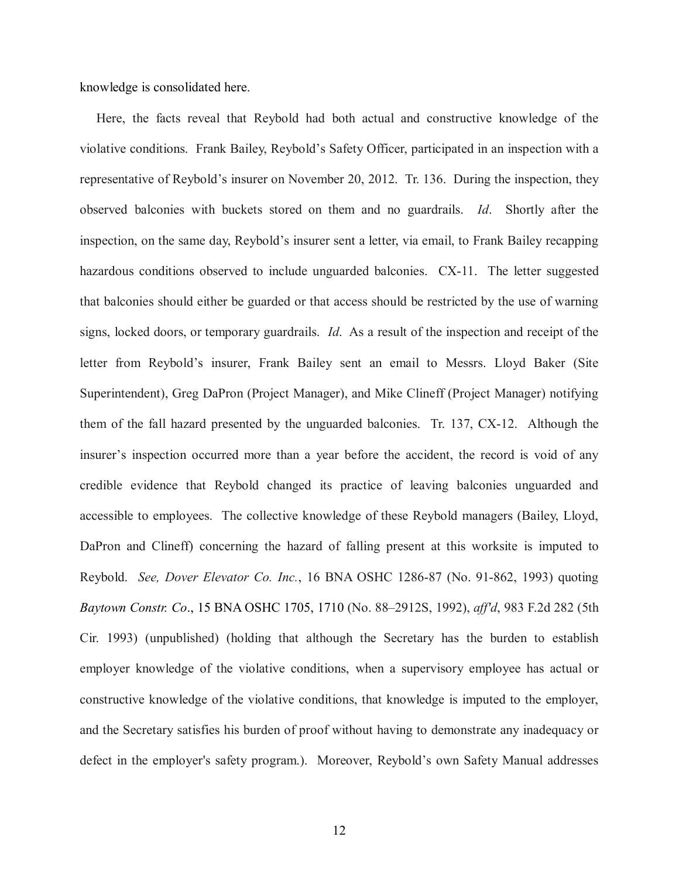knowledge is consolidated here.

 Here, the facts reveal that Reybold had both actual and constructive knowledge of the violative conditions. Frank Bailey, Reybold's Safety Officer, participated in an inspection with a representative of Reybold's insurer on November 20, 2012. Tr. 136. During the inspection, they observed balconies with buckets stored on them and no guardrails. *Id*. Shortly after the inspection, on the same day, Reybold's insurer sent a letter, via email, to Frank Bailey recapping hazardous conditions observed to include unguarded balconies. CX-11. The letter suggested that balconies should either be guarded or that access should be restricted by the use of warning signs, locked doors, or temporary guardrails. *Id*. As a result of the inspection and receipt of the letter from Reybold's insurer, Frank Bailey sent an email to Messrs. Lloyd Baker (Site Superintendent), Greg DaPron (Project Manager), and Mike Clineff (Project Manager) notifying them of the fall hazard presented by the unguarded balconies. Tr. 137, CX-12. Although the insurer's inspection occurred more than a year before the accident, the record is void of any credible evidence that Reybold changed its practice of leaving balconies unguarded and accessible to employees. The collective knowledge of these Reybold managers (Bailey, Lloyd, DaPron and Clineff) concerning the hazard of falling present at this worksite is imputed to Reybold. *See, Dover Elevator Co. Inc.*, 16 BNA OSHC 1286-87 (No. 91-862, 1993) quoting *Baytown Constr. Co*., 15 BNA OSHC 1705, 1710 (No. 88–2912S, 1992), *aff'd*, 983 F.2d 282 (5th Cir. 1993) (unpublished) (holding that although the Secretary has the burden to establish employer knowledge of the violative conditions, when a supervisory employee has actual or constructive knowledge of the violative conditions, that knowledge is imputed to the employer, and the Secretary satisfies his burden of proof without having to demonstrate any inadequacy or defect in the employer's safety program.). Moreover, Reybold's own Safety Manual addresses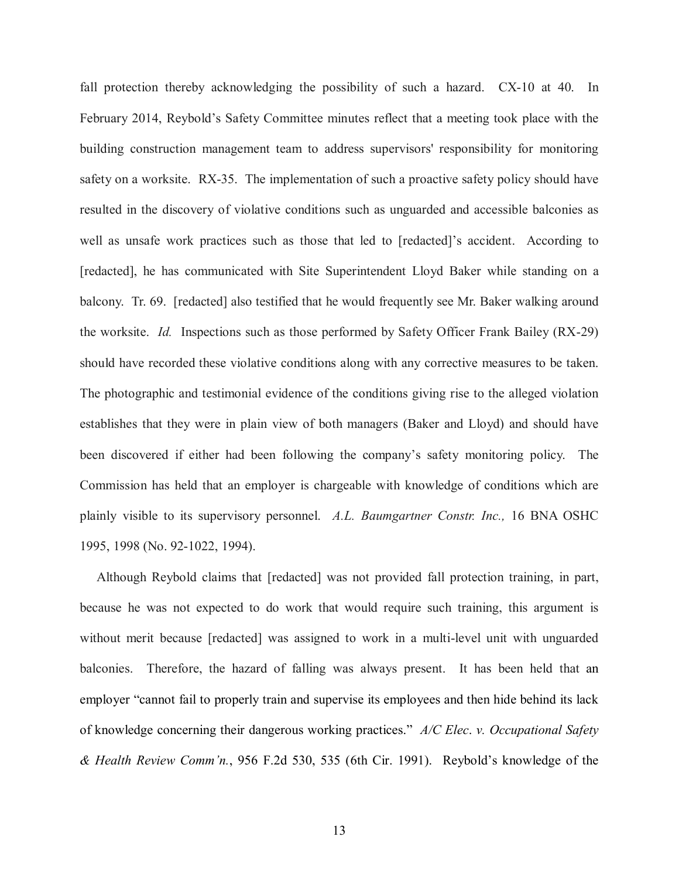fall protection thereby acknowledging the possibility of such a hazard. CX-10 at 40. In February 2014, Reybold's Safety Committee minutes reflect that a meeting took place with the building construction management team to address supervisors' responsibility for monitoring safety on a worksite. RX-35. The implementation of such a proactive safety policy should have resulted in the discovery of violative conditions such as unguarded and accessible balconies as well as unsafe work practices such as those that led to [redacted]'s accident. According to [redacted], he has communicated with Site Superintendent Lloyd Baker while standing on a balcony. Tr. 69. [redacted] also testified that he would frequently see Mr. Baker walking around the worksite. *Id.* Inspections such as those performed by Safety Officer Frank Bailey (RX-29) should have recorded these violative conditions along with any corrective measures to be taken. The photographic and testimonial evidence of the conditions giving rise to the alleged violation establishes that they were in plain view of both managers (Baker and Lloyd) and should have been discovered if either had been following the company's safety monitoring policy. The Commission has held that an employer is chargeable with knowledge of conditions which are plainly visible to its supervisory personnel. *A.L. Baumgartner Constr. Inc.,* 16 BNA OSHC 1995, 1998 (No. 92-1022, 1994).

 Although Reybold claims that [redacted] was not provided fall protection training, in part, because he was not expected to do work that would require such training, this argument is without merit because [redacted] was assigned to work in a multi-level unit with unguarded balconies. Therefore, the hazard of falling was always present. It has been held that an employer "cannot fail to properly train and supervise its employees and then hide behind its lack of knowledge concerning their dangerous working practices." *A/C Elec*. *v. Occupational Safety & Health Review Comm'n.*, 956 F.2d 530, 535 (6th Cir. 1991). Reybold's knowledge of the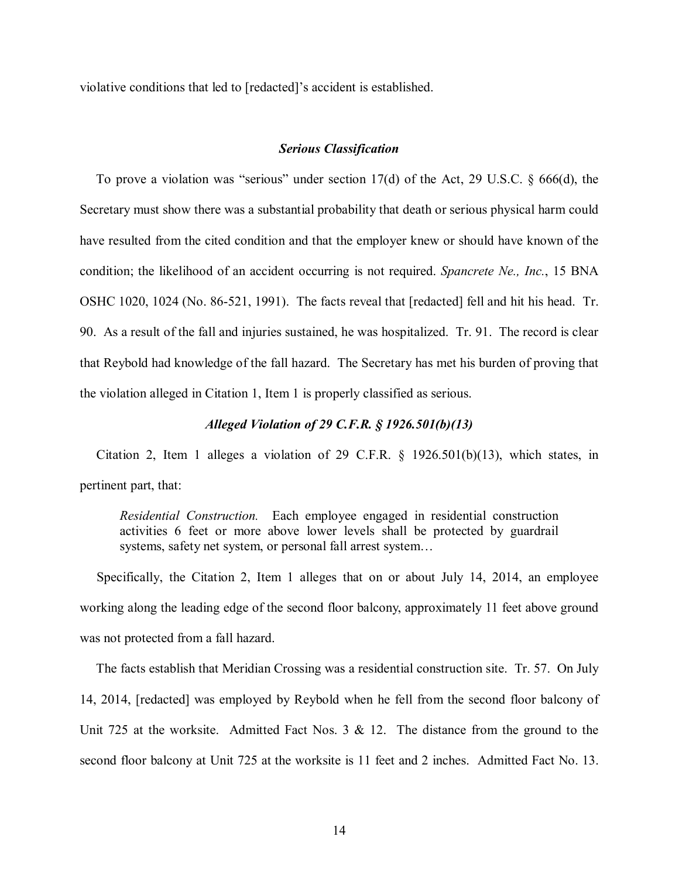violative conditions that led to [redacted]'s accident is established.

# *Serious Classification*

 To prove a violation was "serious" under section 17(d) of the Act, 29 U.S.C. § 666(d), the Secretary must show there was a substantial probability that death or serious physical harm could have resulted from the cited condition and that the employer knew or should have known of the condition; the likelihood of an accident occurring is not required. *Spancrete Ne., Inc.*, 15 BNA OSHC 1020, 1024 (No. 86-521, 1991). The facts reveal that [redacted] fell and hit his head. Tr. 90. As a result of the fall and injuries sustained, he was hospitalized. Tr. 91. The record is clear that Reybold had knowledge of the fall hazard. The Secretary has met his burden of proving that the violation alleged in Citation 1, Item 1 is properly classified as serious.

# *Alleged Violation of 29 C.F.R. § 1926.501(b)(13)*

 Citation 2, Item 1 alleges a violation of 29 C.F.R. § 1926.501(b)(13), which states, in pertinent part, that:

*Residential Construction.* Each employee engaged in residential construction activities 6 feet or more above lower levels shall be protected by guardrail systems, safety net system, or personal fall arrest system…

 Specifically, the Citation 2, Item 1 alleges that on or about July 14, 2014, an employee working along the leading edge of the second floor balcony, approximately 11 feet above ground was not protected from a fall hazard.

 The facts establish that Meridian Crossing was a residential construction site. Tr. 57. On July 14, 2014, [redacted] was employed by Reybold when he fell from the second floor balcony of Unit 725 at the worksite. Admitted Fact Nos.  $3 \& 12$ . The distance from the ground to the second floor balcony at Unit 725 at the worksite is 11 feet and 2 inches. Admitted Fact No. 13.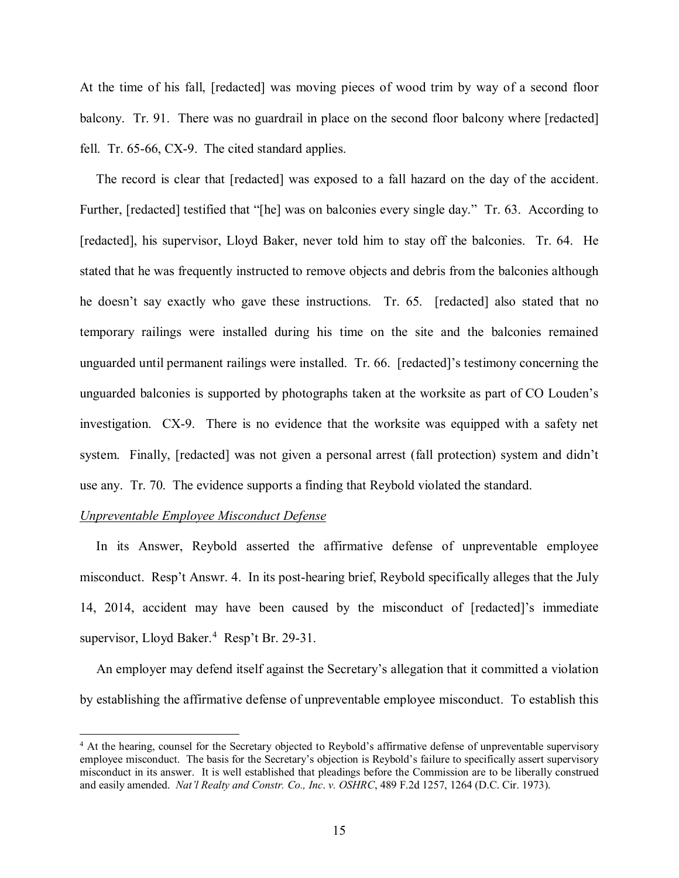At the time of his fall, [redacted] was moving pieces of wood trim by way of a second floor balcony. Tr. 91. There was no guardrail in place on the second floor balcony where [redacted] fell. Tr. 65-66, CX-9. The cited standard applies.

 The record is clear that [redacted] was exposed to a fall hazard on the day of the accident. Further, [redacted] testified that "[he] was on balconies every single day." Tr. 63. According to [redacted], his supervisor, Lloyd Baker, never told him to stay off the balconies. Tr. 64. He stated that he was frequently instructed to remove objects and debris from the balconies although he doesn't say exactly who gave these instructions. Tr. 65. [redacted] also stated that no temporary railings were installed during his time on the site and the balconies remained unguarded until permanent railings were installed. Tr. 66. [redacted]'s testimony concerning the unguarded balconies is supported by photographs taken at the worksite as part of CO Louden's investigation. CX-9. There is no evidence that the worksite was equipped with a safety net system. Finally, [redacted] was not given a personal arrest (fall protection) system and didn't use any. Tr. 70. The evidence supports a finding that Reybold violated the standard.

# *Unpreventable Employee Misconduct Defense*

 $\overline{a}$ 

 In its Answer, Reybold asserted the affirmative defense of unpreventable employee misconduct. Resp't Answr. 4. In its post-hearing brief, Reybold specifically alleges that the July 14, 2014, accident may have been caused by the misconduct of [redacted]'s immediate supervisor, Lloyd Baker.<sup>[4](#page-14-0)</sup> Resp't Br. 29-31.

 An employer may defend itself against the Secretary's allegation that it committed a violation by establishing the affirmative defense of unpreventable employee misconduct. To establish this

<span id="page-14-0"></span><sup>&</sup>lt;sup>4</sup> At the hearing, counsel for the Secretary objected to Reybold's affirmative defense of unpreventable supervisory employee misconduct. The basis for the Secretary's objection is Reybold's failure to specifically assert supervisory misconduct in its answer. It is well established that pleadings before the Commission are to be liberally construed and easily amended. *Nat'l Realty and Constr. Co., Inc*. *v. OSHRC*, 489 F.2d 1257, 1264 (D.C. Cir. 1973).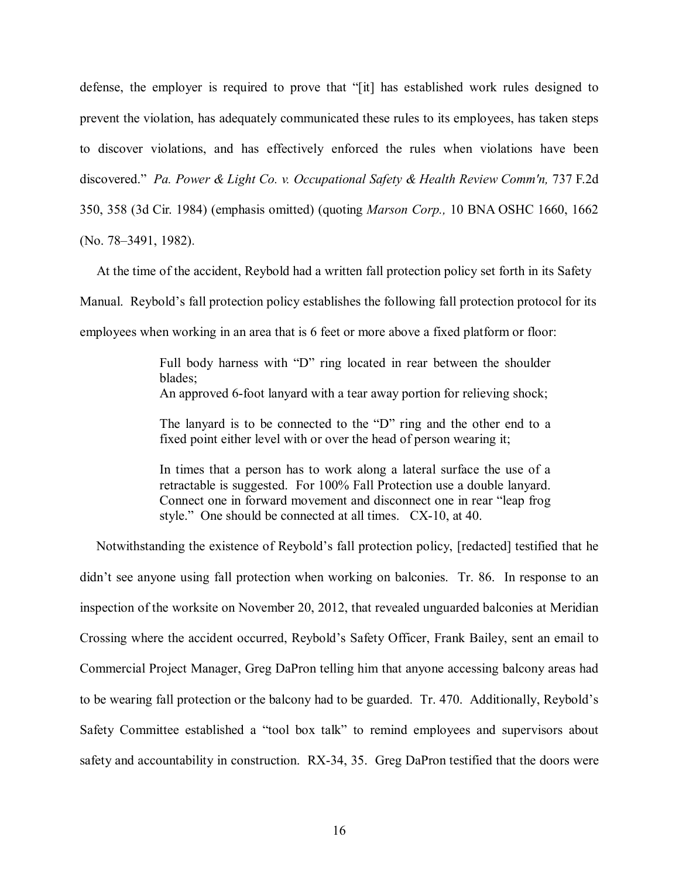defense, the employer is required to prove that "[it] has established work rules designed to prevent the violation, has adequately communicated these rules to its employees, has taken steps to discover violations, and has effectively enforced the rules when violations have been discovered." *Pa. Power & Light Co. v. Occupational Safety & Health Review Comm'n,* 737 F.2d 350, 358 (3d Cir. 1984) (emphasis omitted) (quoting *Marson Corp.,* 10 BNA OSHC 1660, 1662 (No. 78–3491, 1982).

 At the time of the accident, Reybold had a written fall protection policy set forth in its Safety Manual. Reybold's fall protection policy establishes the following fall protection protocol for its employees when working in an area that is 6 feet or more above a fixed platform or floor:

> Full body harness with "D" ring located in rear between the shoulder blades; An approved 6-foot lanyard with a tear away portion for relieving shock;

> The lanyard is to be connected to the "D" ring and the other end to a fixed point either level with or over the head of person wearing it;

> In times that a person has to work along a lateral surface the use of a retractable is suggested. For 100% Fall Protection use a double lanyard. Connect one in forward movement and disconnect one in rear "leap frog style." One should be connected at all times. CX-10, at 40.

 Notwithstanding the existence of Reybold's fall protection policy, [redacted] testified that he didn't see anyone using fall protection when working on balconies. Tr. 86. In response to an inspection of the worksite on November 20, 2012, that revealed unguarded balconies at Meridian Crossing where the accident occurred, Reybold's Safety Officer, Frank Bailey, sent an email to Commercial Project Manager, Greg DaPron telling him that anyone accessing balcony areas had to be wearing fall protection or the balcony had to be guarded. Tr. 470. Additionally, Reybold's Safety Committee established a "tool box talk" to remind employees and supervisors about safety and accountability in construction. RX-34, 35. Greg DaPron testified that the doors were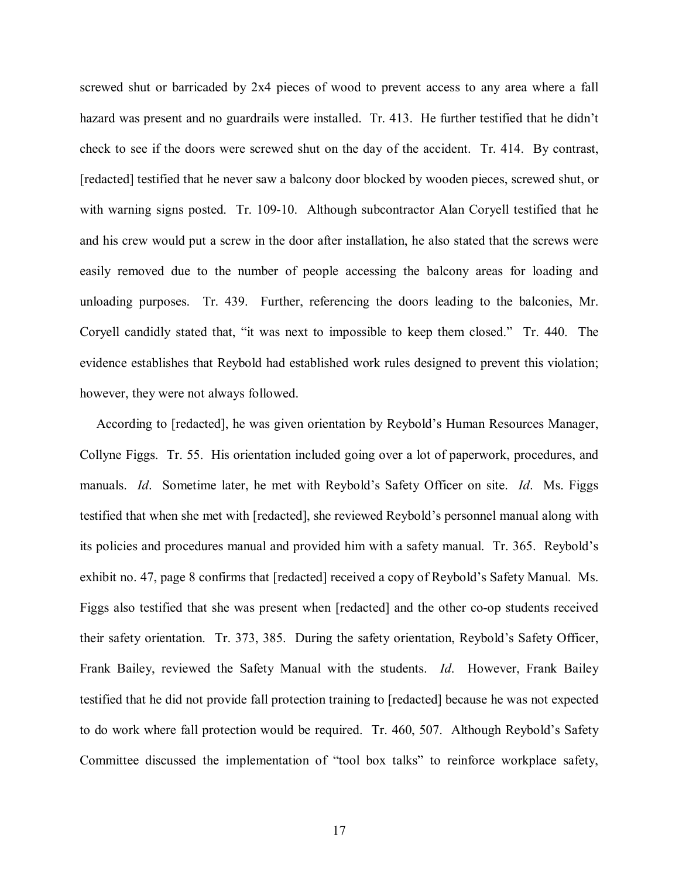screwed shut or barricaded by 2x4 pieces of wood to prevent access to any area where a fall hazard was present and no guardrails were installed. Tr. 413. He further testified that he didn't check to see if the doors were screwed shut on the day of the accident. Tr. 414. By contrast, [redacted] testified that he never saw a balcony door blocked by wooden pieces, screwed shut, or with warning signs posted. Tr. 109-10. Although subcontractor Alan Coryell testified that he and his crew would put a screw in the door after installation, he also stated that the screws were easily removed due to the number of people accessing the balcony areas for loading and unloading purposes. Tr. 439. Further, referencing the doors leading to the balconies, Mr. Coryell candidly stated that, "it was next to impossible to keep them closed." Tr. 440. The evidence establishes that Reybold had established work rules designed to prevent this violation; however, they were not always followed.

 According to [redacted], he was given orientation by Reybold's Human Resources Manager, Collyne Figgs. Tr. 55. His orientation included going over a lot of paperwork, procedures, and manuals. *Id*. Sometime later, he met with Reybold's Safety Officer on site. *Id*. Ms. Figgs testified that when she met with [redacted], she reviewed Reybold's personnel manual along with its policies and procedures manual and provided him with a safety manual. Tr. 365. Reybold's exhibit no. 47, page 8 confirms that [redacted] received a copy of Reybold's Safety Manual. Ms. Figgs also testified that she was present when [redacted] and the other co-op students received their safety orientation. Tr. 373, 385. During the safety orientation, Reybold's Safety Officer, Frank Bailey, reviewed the Safety Manual with the students. *Id*. However, Frank Bailey testified that he did not provide fall protection training to [redacted] because he was not expected to do work where fall protection would be required. Tr. 460, 507. Although Reybold's Safety Committee discussed the implementation of "tool box talks" to reinforce workplace safety,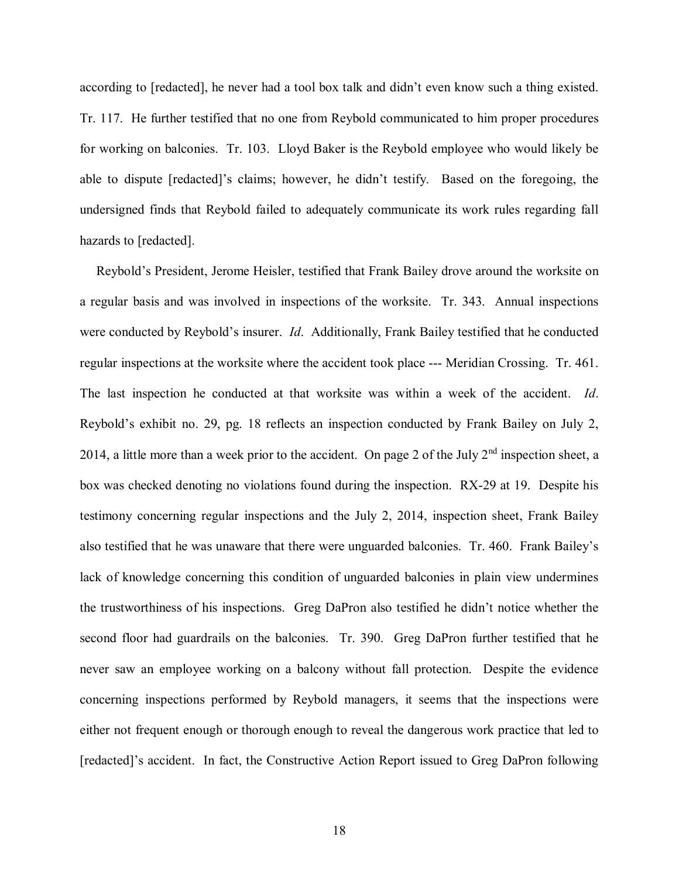according to [redacted], he never had a tool box talk and didn't even know such a thing existed. Tr. 117. He further testified that no one from Reybold communicated to him proper procedures for working on balconies. Tr. 103. Lloyd Baker is the Reybold employee who would likely be able to dispute [redacted]'s claims; however, he didn't testify. Based on the foregoing, the undersigned finds that Reybold failed to adequately communicate its work rules regarding fall hazards to [redacted].

 Reybold's President, Jerome Heisler, testified that Frank Bailey drove around the worksite on a regular basis and was involved in inspections of the worksite. Tr. 343. Annual inspections were conducted by Reybold's insurer. *Id*. Additionally, Frank Bailey testified that he conducted regular inspections at the worksite where the accident took place --- Meridian Crossing. Tr. 461. The last inspection he conducted at that worksite was within a week of the accident. *Id*. Reybold's exhibit no. 29, pg. 18 reflects an inspection conducted by Frank Bailey on July 2, 2014, a little more than a week prior to the accident. On page 2 of the July  $2<sup>nd</sup>$  inspection sheet, a box was checked denoting no violations found during the inspection. RX-29 at 19. Despite his testimony concerning regular inspections and the July 2, 2014, inspection sheet, Frank Bailey also testified that he was unaware that there were unguarded balconies. Tr. 460. Frank Bailey's lack of knowledge concerning this condition of unguarded balconies in plain view undermines the trustworthiness of his inspections. Greg DaPron also testified he didn't notice whether the second floor had guardrails on the balconies. Tr. 390. Greg DaPron further testified that he never saw an employee working on a balcony without fall protection. Despite the evidence concerning inspections performed by Reybold managers, it seems that the inspections were either not frequent enough or thorough enough to reveal the dangerous work practice that led to [redacted]'s accident. In fact, the Constructive Action Report issued to Greg DaPron following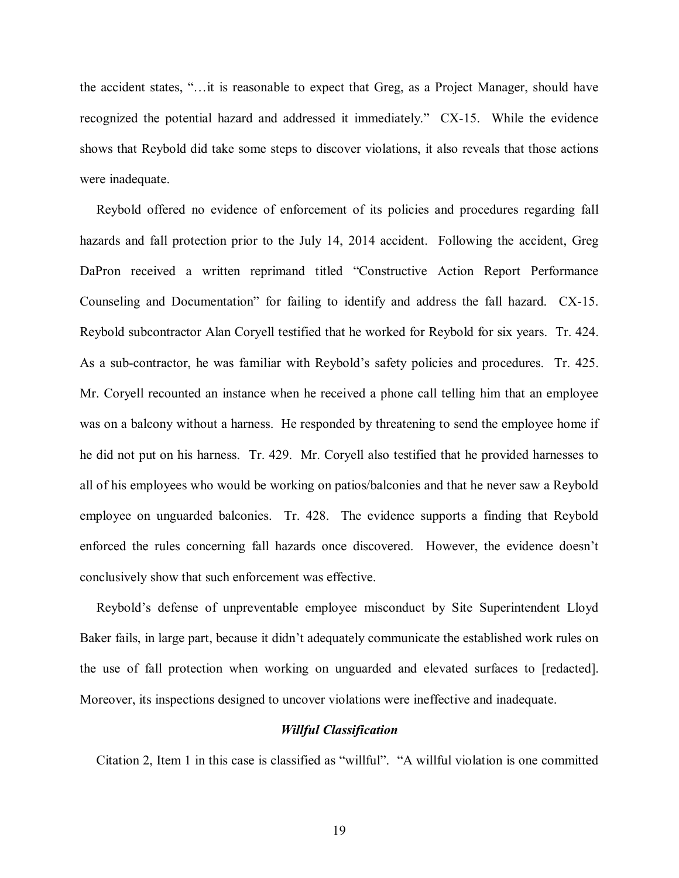the accident states, "…it is reasonable to expect that Greg, as a Project Manager, should have recognized the potential hazard and addressed it immediately." CX-15. While the evidence shows that Reybold did take some steps to discover violations, it also reveals that those actions were inadequate.

 Reybold offered no evidence of enforcement of its policies and procedures regarding fall hazards and fall protection prior to the July 14, 2014 accident. Following the accident, Greg DaPron received a written reprimand titled "Constructive Action Report Performance Counseling and Documentation" for failing to identify and address the fall hazard. CX-15. Reybold subcontractor Alan Coryell testified that he worked for Reybold for six years. Tr. 424. As a sub-contractor, he was familiar with Reybold's safety policies and procedures. Tr. 425. Mr. Coryell recounted an instance when he received a phone call telling him that an employee was on a balcony without a harness. He responded by threatening to send the employee home if he did not put on his harness. Tr. 429. Mr. Coryell also testified that he provided harnesses to all of his employees who would be working on patios/balconies and that he never saw a Reybold employee on unguarded balconies. Tr. 428. The evidence supports a finding that Reybold enforced the rules concerning fall hazards once discovered. However, the evidence doesn't conclusively show that such enforcement was effective.

 Reybold's defense of unpreventable employee misconduct by Site Superintendent Lloyd Baker fails, in large part, because it didn't adequately communicate the established work rules on the use of fall protection when working on unguarded and elevated surfaces to [redacted]. Moreover, its inspections designed to uncover violations were ineffective and inadequate.

## *Willful Classification*

Citation 2, Item 1 in this case is classified as "willful". "A willful violation is one committed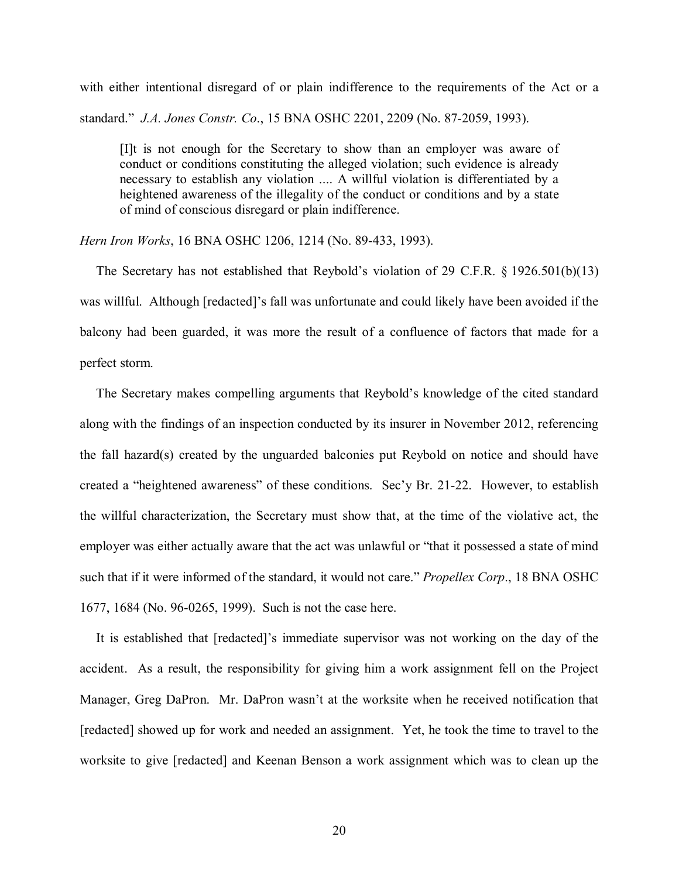with either intentional disregard of or plain indifference to the requirements of the Act or a standard." *J.A. Jones Constr. Co*., 15 BNA OSHC 2201, 2209 (No. 87-2059, 1993).

[I]t is not enough for the Secretary to show than an employer was aware of conduct or conditions constituting the alleged violation; such evidence is already necessary to establish any violation .... A willful violation is differentiated by a heightened awareness of the illegality of the conduct or conditions and by a state of mind of conscious disregard or plain indifference.

*Hern Iron Works*, 16 BNA OSHC 1206, 1214 (No. 89-433, 1993).

 The Secretary has not established that Reybold's violation of 29 C.F.R. § 1926.501(b)(13) was willful. Although [redacted]'s fall was unfortunate and could likely have been avoided if the balcony had been guarded, it was more the result of a confluence of factors that made for a perfect storm.

 The Secretary makes compelling arguments that Reybold's knowledge of the cited standard along with the findings of an inspection conducted by its insurer in November 2012, referencing the fall hazard(s) created by the unguarded balconies put Reybold on notice and should have created a "heightened awareness" of these conditions. Sec'y Br. 21-22. However, to establish the willful characterization, the Secretary must show that, at the time of the violative act, the employer was either actually aware that the act was unlawful or "that it possessed a state of mind such that if it were informed of the standard, it would not care." *Propellex Corp*., 18 BNA OSHC 1677, 1684 (No. 96-0265, 1999). Such is not the case here.

 It is established that [redacted]'s immediate supervisor was not working on the day of the accident. As a result, the responsibility for giving him a work assignment fell on the Project Manager, Greg DaPron. Mr. DaPron wasn't at the worksite when he received notification that [redacted] showed up for work and needed an assignment. Yet, he took the time to travel to the worksite to give [redacted] and Keenan Benson a work assignment which was to clean up the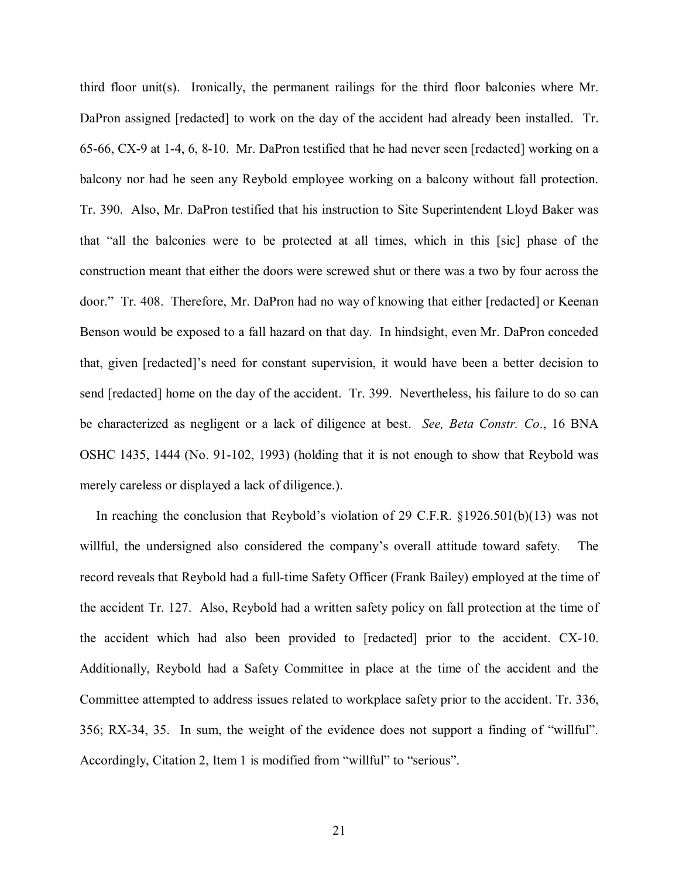third floor unit(s). Ironically, the permanent railings for the third floor balconies where Mr. DaPron assigned [redacted] to work on the day of the accident had already been installed. Tr. 65-66, CX-9 at 1-4, 6, 8-10. Mr. DaPron testified that he had never seen [redacted] working on a balcony nor had he seen any Reybold employee working on a balcony without fall protection. Tr. 390. Also, Mr. DaPron testified that his instruction to Site Superintendent Lloyd Baker was that "all the balconies were to be protected at all times, which in this [sic] phase of the construction meant that either the doors were screwed shut or there was a two by four across the door." Tr. 408. Therefore, Mr. DaPron had no way of knowing that either [redacted] or Keenan Benson would be exposed to a fall hazard on that day. In hindsight, even Mr. DaPron conceded that, given [redacted]'s need for constant supervision, it would have been a better decision to send [redacted] home on the day of the accident. Tr. 399. Nevertheless, his failure to do so can be characterized as negligent or a lack of diligence at best. *See, Beta Constr. Co*., 16 BNA OSHC 1435, 1444 (No. 91-102, 1993) (holding that it is not enough to show that Reybold was merely careless or displayed a lack of diligence.).

 In reaching the conclusion that Reybold's violation of 29 C.F.R. §1926.501(b)(13) was not willful, the undersigned also considered the company's overall attitude toward safety. The record reveals that Reybold had a full-time Safety Officer (Frank Bailey) employed at the time of the accident Tr. 127. Also, Reybold had a written safety policy on fall protection at the time of the accident which had also been provided to [redacted] prior to the accident. CX-10. Additionally, Reybold had a Safety Committee in place at the time of the accident and the Committee attempted to address issues related to workplace safety prior to the accident. Tr. 336, 356; RX-34, 35. In sum, the weight of the evidence does not support a finding of "willful". Accordingly, Citation 2, Item 1 is modified from "willful" to "serious".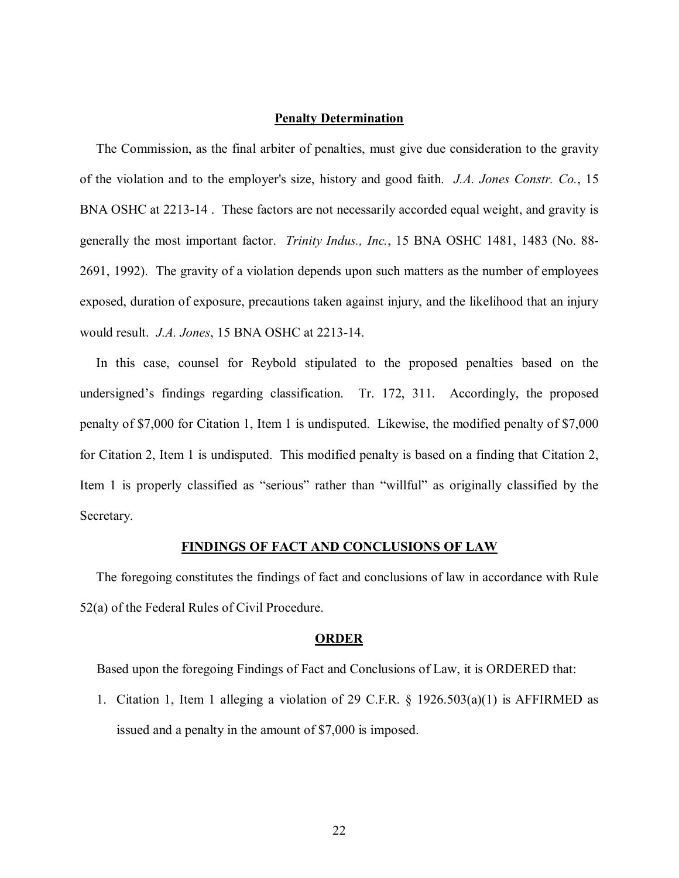# **Penalty Determination**

The Commission, as the final arbiter of penalties, must give due consideration to the gravity of the violation and to the employer's size, history and good faith. *J.A. Jones Constr. Co.*, 15 BNA OSHC at 2213-14 . These factors are not necessarily accorded equal weight, and gravity is generally the most important factor. *Trinity Indus., Inc.*, 15 BNA OSHC 1481, 1483 (No. 88- 2691, 1992). The gravity of a violation depends upon such matters as the number of employees exposed, duration of exposure, precautions taken against injury, and the likelihood that an injury would result. *J.A. Jones*, 15 BNA OSHC at 2213-14.

 In this case, counsel for Reybold stipulated to the proposed penalties based on the undersigned's findings regarding classification. Tr. 172, 311. Accordingly, the proposed penalty of \$7,000 for Citation 1, Item 1 is undisputed. Likewise, the modified penalty of \$7,000 for Citation 2, Item 1 is undisputed. This modified penalty is based on a finding that Citation 2, Item 1 is properly classified as "serious" rather than "willful" as originally classified by the Secretary.

## **FINDINGS OF FACT AND CONCLUSIONS OF LAW**

 The foregoing constitutes the findings of fact and conclusions of law in accordance with Rule 52(a) of the Federal Rules of Civil Procedure.

#### **ORDER**

Based upon the foregoing Findings of Fact and Conclusions of Law, it is ORDERED that:

1. Citation 1, Item 1 alleging a violation of 29 C.F.R. § 1926.503(a)(1) is AFFIRMED as issued and a penalty in the amount of \$7,000 is imposed.